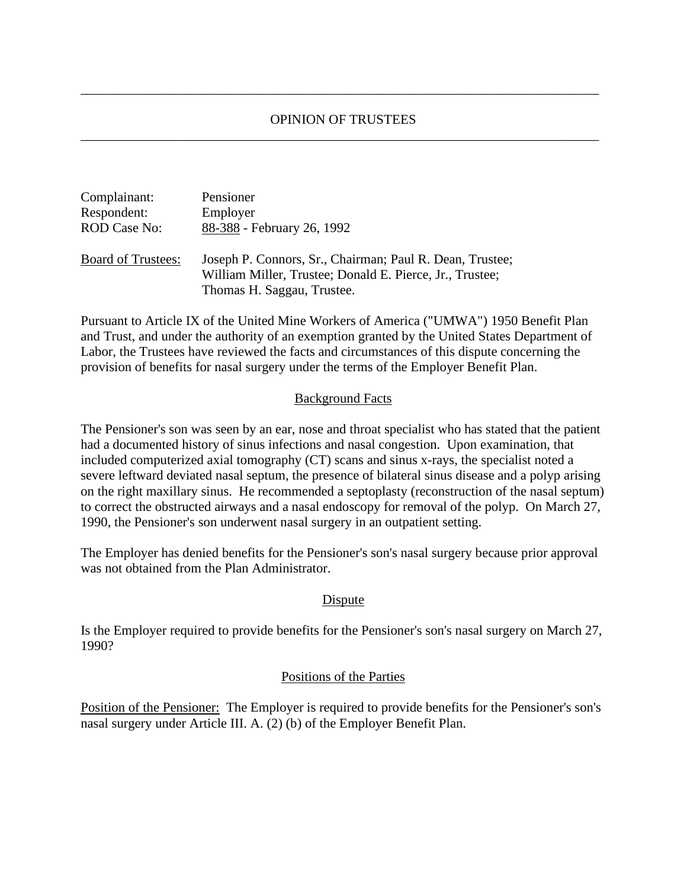## OPINION OF TRUSTEES \_\_\_\_\_\_\_\_\_\_\_\_\_\_\_\_\_\_\_\_\_\_\_\_\_\_\_\_\_\_\_\_\_\_\_\_\_\_\_\_\_\_\_\_\_\_\_\_\_\_\_\_\_\_\_\_\_\_\_\_\_\_\_\_\_\_\_\_\_\_\_\_\_\_\_\_\_

\_\_\_\_\_\_\_\_\_\_\_\_\_\_\_\_\_\_\_\_\_\_\_\_\_\_\_\_\_\_\_\_\_\_\_\_\_\_\_\_\_\_\_\_\_\_\_\_\_\_\_\_\_\_\_\_\_\_\_\_\_\_\_\_\_\_\_\_\_\_\_\_\_\_\_\_\_

| Complainant:              | Pensioner                                                                                                                                          |
|---------------------------|----------------------------------------------------------------------------------------------------------------------------------------------------|
| Respondent:               | Employer                                                                                                                                           |
| <b>ROD Case No:</b>       | 88-388 - February 26, 1992                                                                                                                         |
| <b>Board of Trustees:</b> | Joseph P. Connors, Sr., Chairman; Paul R. Dean, Trustee;<br>William Miller, Trustee; Donald E. Pierce, Jr., Trustee;<br>Thomas H. Saggau, Trustee. |

Pursuant to Article IX of the United Mine Workers of America ("UMWA") 1950 Benefit Plan and Trust, and under the authority of an exemption granted by the United States Department of Labor, the Trustees have reviewed the facts and circumstances of this dispute concerning the provision of benefits for nasal surgery under the terms of the Employer Benefit Plan.

### Background Facts

The Pensioner's son was seen by an ear, nose and throat specialist who has stated that the patient had a documented history of sinus infections and nasal congestion. Upon examination, that included computerized axial tomography (CT) scans and sinus x-rays, the specialist noted a severe leftward deviated nasal septum, the presence of bilateral sinus disease and a polyp arising on the right maxillary sinus. He recommended a septoplasty (reconstruction of the nasal septum) to correct the obstructed airways and a nasal endoscopy for removal of the polyp. On March 27, 1990, the Pensioner's son underwent nasal surgery in an outpatient setting.

The Employer has denied benefits for the Pensioner's son's nasal surgery because prior approval was not obtained from the Plan Administrator.

### Dispute

Is the Employer required to provide benefits for the Pensioner's son's nasal surgery on March 27, 1990?

### Positions of the Parties

Position of the Pensioner: The Employer is required to provide benefits for the Pensioner's son's nasal surgery under Article III. A. (2) (b) of the Employer Benefit Plan.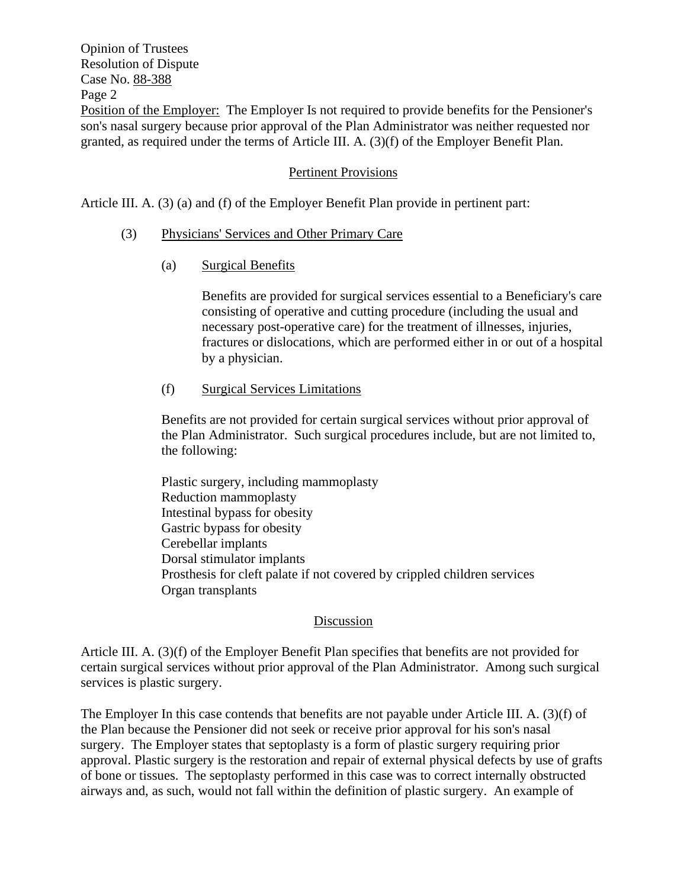Opinion of Trustees Resolution of Dispute Case No. 88-388 Page 2 Position of the Employer: The Employer Is not required to provide benefits for the Pensioner's son's nasal surgery because prior approval of the Plan Administrator was neither requested nor granted, as required under the terms of Article III. A. (3)(f) of the Employer Benefit Plan.

# Pertinent Provisions

Article III. A. (3) (a) and (f) of the Employer Benefit Plan provide in pertinent part:

# (3) Physicians' Services and Other Primary Care

(a) Surgical Benefits

Benefits are provided for surgical services essential to a Beneficiary's care consisting of operative and cutting procedure (including the usual and necessary post-operative care) for the treatment of illnesses, injuries, fractures or dislocations, which are performed either in or out of a hospital by a physician.

(f) Surgical Services Limitations

Benefits are not provided for certain surgical services without prior approval of the Plan Administrator. Such surgical procedures include, but are not limited to, the following:

Plastic surgery, including mammoplasty Reduction mammoplasty Intestinal bypass for obesity Gastric bypass for obesity Cerebellar implants Dorsal stimulator implants Prosthesis for cleft palate if not covered by crippled children services Organ transplants

### Discussion

Article III. A. (3)(f) of the Employer Benefit Plan specifies that benefits are not provided for certain surgical services without prior approval of the Plan Administrator. Among such surgical services is plastic surgery.

The Employer In this case contends that benefits are not payable under Article III. A. (3)(f) of the Plan because the Pensioner did not seek or receive prior approval for his son's nasal surgery. The Employer states that septoplasty is a form of plastic surgery requiring prior approval. Plastic surgery is the restoration and repair of external physical defects by use of grafts of bone or tissues. The septoplasty performed in this case was to correct internally obstructed airways and, as such, would not fall within the definition of plastic surgery. An example of